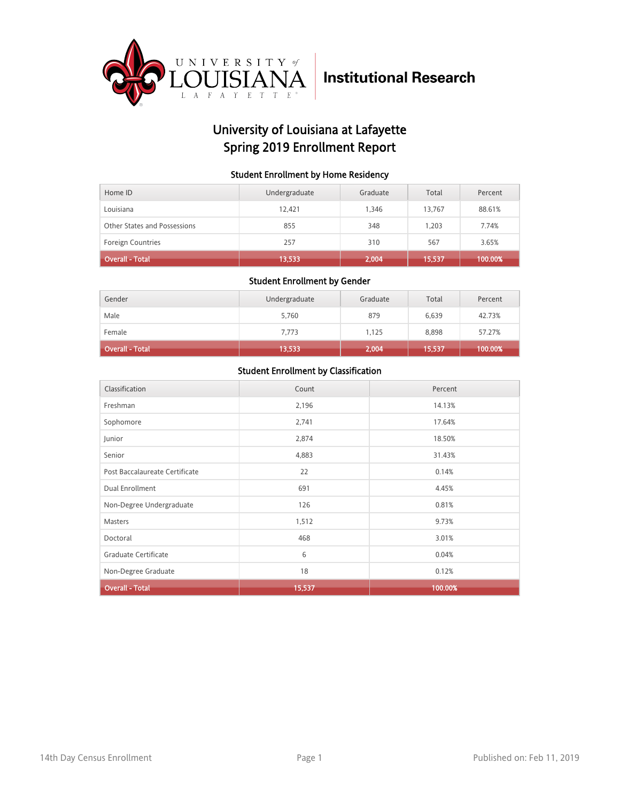

## University of Louisiana at Lafayette Spring 2019 Enrollment Report

#### Student Enrollment by Home Residency

| Home ID                      | Undergraduate | Graduate | Total  | Percent |
|------------------------------|---------------|----------|--------|---------|
| Louisiana                    | 12.421        | 1.346    | 13,767 | 88.61%  |
| Other States and Possessions | 855           | 348      | 1.203  | 7.74%   |
| <b>Foreign Countries</b>     | 257           | 310      | 567    | 3.65%   |
| <b>Overall - Total</b>       | 13,533        | 2,004    | 15,537 | 100.00% |

#### Student Enrollment by Gender

| Gender                 | Undergraduate | Graduate | Total  | Percent |
|------------------------|---------------|----------|--------|---------|
| Male                   | 5,760         | 879      | 6,639  | 42.73%  |
| Female                 | 7,773         | 1,125    | 8,898  | 57.27%  |
| <b>Overall - Total</b> | 13,533        | 2,004    | 15,537 | 100.00% |

| Classification                 | Count  | Percent |
|--------------------------------|--------|---------|
| Freshman                       | 2,196  | 14.13%  |
| Sophomore                      | 2,741  | 17.64%  |
| Junior                         | 2,874  | 18.50%  |
| Senior                         | 4,883  | 31.43%  |
| Post Baccalaureate Certificate | 22     | 0.14%   |
| Dual Enrollment                | 691    | 4.45%   |
| Non-Degree Undergraduate       | 126    | 0.81%   |
| Masters                        | 1,512  | 9.73%   |
| Doctoral                       | 468    | 3.01%   |
| Graduate Certificate           | 6      | 0.04%   |
| Non-Degree Graduate            | 18     | 0.12%   |
| <b>Overall - Total</b>         | 15,537 | 100.00% |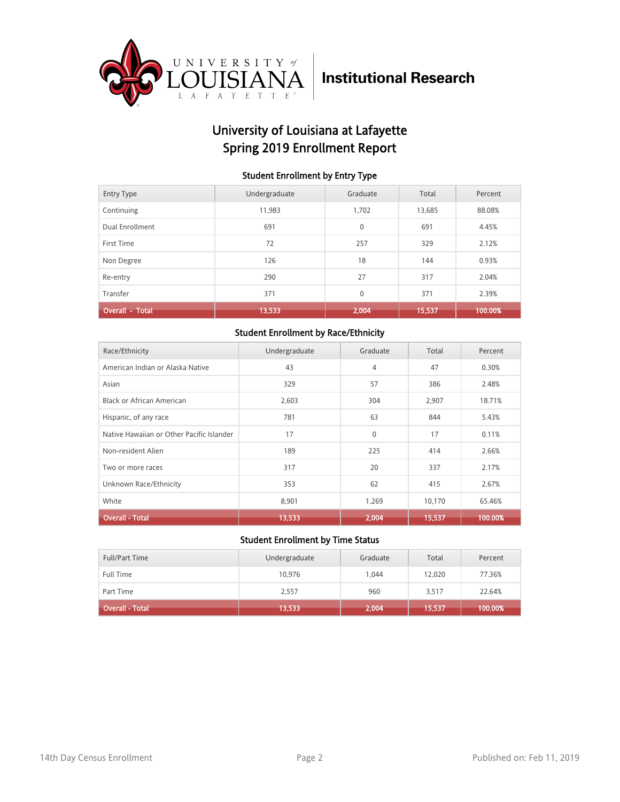

## University of Louisiana at Lafayette Spring 2019 Enrollment Report

#### Student Enrollment by Entry Type

| <b>Entry Type</b>      | Undergraduate | Graduate     | Total  | Percent |
|------------------------|---------------|--------------|--------|---------|
| Continuing             | 11.983        | 1.702        | 13,685 | 88.08%  |
| Dual Enrollment        | 691           | $\mathbf{0}$ | 691    | 4.45%   |
| First Time             | 72            | 257          | 329    | 2.12%   |
| Non Degree             | 126           | 18           | 144    | 0.93%   |
| Re-entry               | 290           | 27           | 317    | 2.04%   |
| Transfer               | 371           | $\mathbf{0}$ | 371    | 2.39%   |
| <b>Overall - Total</b> | 13,533        | 2,004        | 15,537 | 100.00% |

#### Student Enrollment by Race/Ethnicity

| Race/Ethnicity                            | Undergraduate | Graduate | Total  | Percent |
|-------------------------------------------|---------------|----------|--------|---------|
| American Indian or Alaska Native          | 43            | 4        | 47     | 0.30%   |
| Asian                                     | 329           | 57       | 386    | 2.48%   |
| <b>Black or African American</b>          | 2,603         | 304      | 2,907  | 18.71%  |
| Hispanic, of any race                     | 781           | 63       | 844    | 5.43%   |
| Native Hawaiian or Other Pacific Islander | 17            | $\Omega$ | 17     | 0.11%   |
| Non-resident Alien                        | 189           | 225      | 414    | 2.66%   |
| Two or more races                         | 317           | 20       | 337    | 2.17%   |
| Unknown Race/Ethnicity                    | 353           | 62       | 415    | 2.67%   |
| White                                     | 8,901         | 1,269    | 10,170 | 65.46%  |
| <b>Overall - Total</b>                    | 13,533        | 2,004    | 15,537 | 100.00% |

| <b>Full/Part Time</b> | Undergraduate | Graduate | Total  | Percent |
|-----------------------|---------------|----------|--------|---------|
| <b>Full Time</b>      | 10.976        | 1.044    | 12.020 | 77.36%  |
| Part Time             | 2,557         | 960      | 3,517  | 22.64%  |
| Overall - Total       | 13,533        | 2,004    | 15,537 | 100.00% |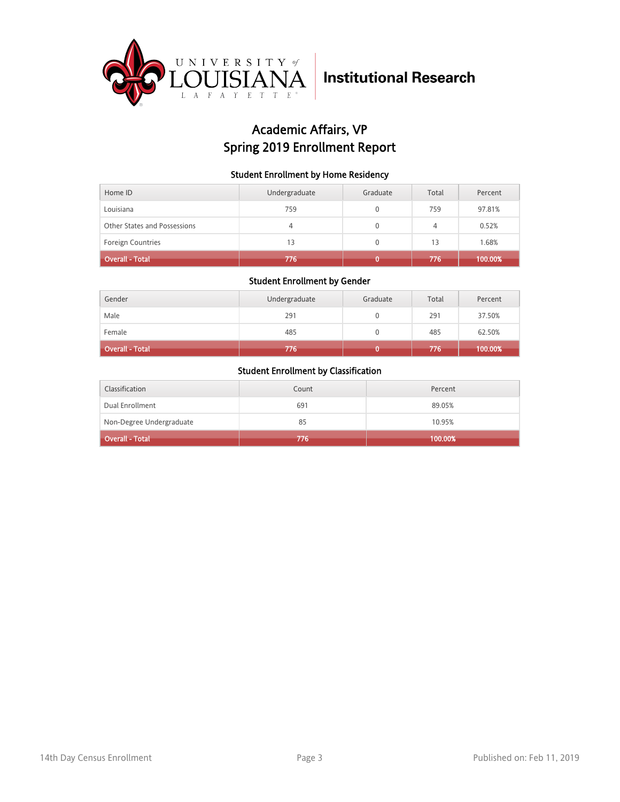

## Academic Affairs, VP Spring 2019 Enrollment Report

#### Student Enrollment by Home Residency

| Home ID                      | Undergraduate | Graduate     | Total | Percent |
|------------------------------|---------------|--------------|-------|---------|
| Louisiana                    | 759           | 0            | 759   | 97.81%  |
| Other States and Possessions | 4             | $\mathbf{0}$ | 4     | 0.52%   |
| Foreign Countries            | 13            | 0            | 13    | 1.68%   |
| <b>Overall - Total</b>       | 776           |              | 776   | 100.00% |

#### Student Enrollment by Gender

| Gender                 | Undergraduate | Graduate | Total | Percent |
|------------------------|---------------|----------|-------|---------|
| Male                   | 291           |          | 291   | 37.50%  |
| Female                 | 485           |          | 485   | 62.50%  |
| <b>Overall - Total</b> | 776           |          | 776   | 100.00% |

| Classification           | Count | Percent |
|--------------------------|-------|---------|
| Dual Enrollment          | 691   | 89.05%  |
| Non-Degree Undergraduate | 85    | 10.95%  |
| <b>Overall - Total</b>   | 776   | 100.00% |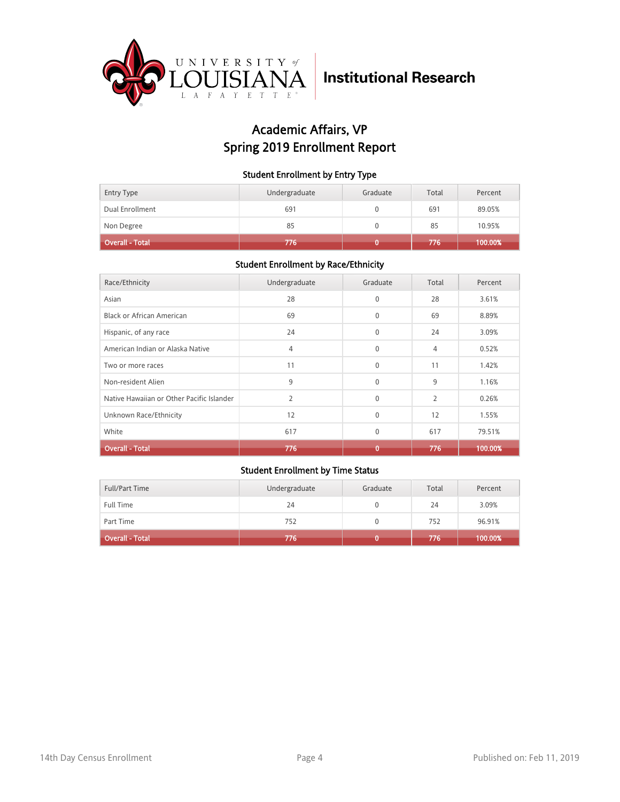

## Academic Affairs, VP Spring 2019 Enrollment Report

#### Student Enrollment by Entry Type

| Entry Type      | Undergraduate | Graduate | Total | Percent |
|-----------------|---------------|----------|-------|---------|
| Dual Enrollment | 691           |          | 691   | 89.05%  |
| Non Degree      | 85            |          | 85    | 10.95%  |
| Overall - Total | 776           |          | 776   | 100.00% |

#### Student Enrollment by Race/Ethnicity

| Race/Ethnicity                            | Undergraduate  | Graduate     | Total          | Percent |
|-------------------------------------------|----------------|--------------|----------------|---------|
| Asian                                     | 28             | $\Omega$     | 28             | 3.61%   |
| Black or African American                 | 69             | $\mathbf{0}$ | 69             | 8.89%   |
| Hispanic, of any race                     | 24             | $\mathbf{0}$ | 24             | 3.09%   |
| American Indian or Alaska Native          | 4              | $\Omega$     | 4              | 0.52%   |
| Two or more races                         | 11             | $\Omega$     | 11             | 1.42%   |
| Non-resident Alien                        | 9              | $\Omega$     | 9              | 1.16%   |
| Native Hawaiian or Other Pacific Islander | $\overline{2}$ | $\Omega$     | $\overline{2}$ | 0.26%   |
| Unknown Race/Ethnicity                    | 12             | $\mathbf{0}$ | 12             | 1.55%   |
| White                                     | 617            | $\Omega$     | 617            | 79.51%  |
| <b>Overall - Total</b>                    | 776            | 0            | 776            | 100.00% |

| Full/Part Time         | Undergraduate | Graduate | Total | Percent |
|------------------------|---------------|----------|-------|---------|
| <b>Full Time</b>       | 24            |          | 24    | 3.09%   |
| Part Time              | 752           |          | 752   | 96.91%  |
| <b>Overall - Total</b> | 776'          |          | 776   | 100.00% |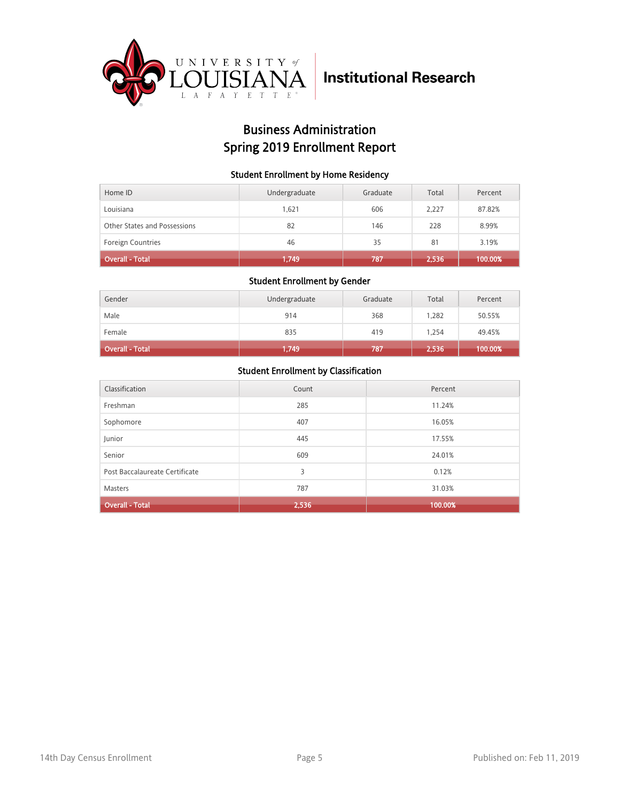

## Business Administration Spring 2019 Enrollment Report

#### Student Enrollment by Home Residency

| Home ID                      | Undergraduate | Graduate | Total | Percent |
|------------------------------|---------------|----------|-------|---------|
| Louisiana                    | 1.621         | 606      | 2.227 | 87.82%  |
| Other States and Possessions | 82            | 146      | 228   | 8.99%   |
| <b>Foreign Countries</b>     | 46            | 35       | 81    | 3.19%   |
| <b>Overall - Total</b>       | 1,749         | 787      | 2,536 | 100.00% |

#### Student Enrollment by Gender

| Gender                 | Undergraduate | Graduate | Total | Percent |
|------------------------|---------------|----------|-------|---------|
| Male                   | 914           | 368      | 1,282 | 50.55%  |
| Female                 | 835           | 419      | 1.254 | 49.45%  |
| <b>Overall - Total</b> | 1,749         | 787      | 2,536 | 100.00% |

| Classification                 | Count | Percent |
|--------------------------------|-------|---------|
| Freshman                       | 285   | 11.24%  |
| Sophomore                      | 407   | 16.05%  |
| Junior                         | 445   | 17.55%  |
| Senior                         | 609   | 24.01%  |
| Post Baccalaureate Certificate | 3     | 0.12%   |
| Masters                        | 787   | 31.03%  |
| <b>Overall - Total</b>         | 2,536 | 100.00% |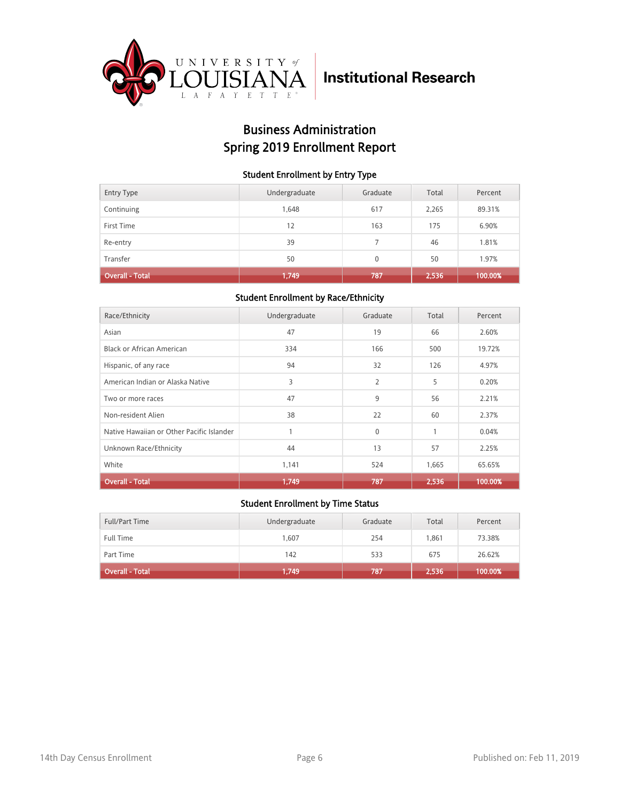

## Business Administration Spring 2019 Enrollment Report

#### Student Enrollment by Entry Type

| <b>Entry Type</b>      | Undergraduate | Graduate | Total | Percent |
|------------------------|---------------|----------|-------|---------|
| Continuing             | 1,648         | 617      | 2,265 | 89.31%  |
| First Time             | 12            | 163      | 175   | 6.90%   |
| Re-entry               | 39            |          | 46    | 1.81%   |
| Transfer               | 50            | $\Omega$ | 50    | 1.97%   |
| <b>Overall - Total</b> | 1,749         | 787      | 2,536 | 100.00% |

#### Student Enrollment by Race/Ethnicity

| Race/Ethnicity                            | Undergraduate | Graduate       | Total | Percent |
|-------------------------------------------|---------------|----------------|-------|---------|
| Asian                                     | 47            | 19             | 66    | 2.60%   |
| Black or African American                 | 334           | 166            | 500   | 19.72%  |
| Hispanic, of any race                     | 94            | 32             | 126   | 4.97%   |
| American Indian or Alaska Native          | 3             | $\overline{2}$ | 5     | 0.20%   |
| Two or more races                         | 47            | 9              | 56    | 2.21%   |
| Non-resident Alien                        | 38            | 22             | 60    | 2.37%   |
| Native Hawaiian or Other Pacific Islander |               | $\mathbf{0}$   | 1     | 0.04%   |
| Unknown Race/Ethnicity                    | 44            | 13             | 57    | 2.25%   |
| White                                     | 1,141         | 524            | 1,665 | 65.65%  |
| <b>Overall - Total</b>                    | 1,749         | 787            | 2,536 | 100.00% |

| Full/Part Time         | Undergraduate | Graduate | Total | Percent |
|------------------------|---------------|----------|-------|---------|
| <b>Full Time</b>       | 1,607         | 254      | 1.861 | 73.38%  |
| Part Time              | 142           | 533      | 675   | 26.62%  |
| <b>Overall - Total</b> | 1,749         | 787      | 2,536 | 100.00% |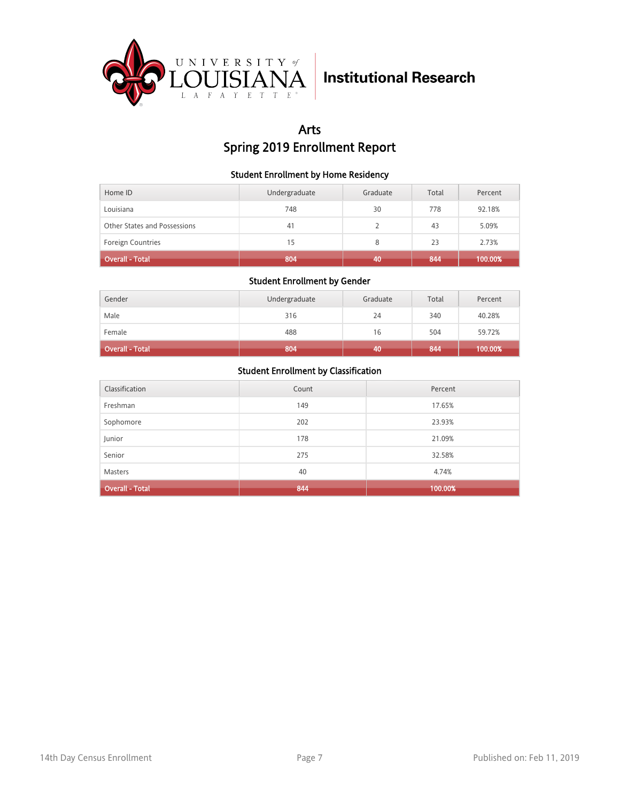

## Arts Spring 2019 Enrollment Report

#### Student Enrollment by Home Residency

| Home ID                      | Undergraduate | Graduate | Total | Percent |
|------------------------------|---------------|----------|-------|---------|
| Louisiana                    | 748           | 30       | 778   | 92.18%  |
| Other States and Possessions | 41            |          | 43    | 5.09%   |
| <b>Foreign Countries</b>     | 15            | 8        | 23    | 2.73%   |
| <b>Overall - Total</b>       | 804           | 40       | 844   | 100.00% |

#### Student Enrollment by Gender

| Gender                 | Undergraduate | Graduate | Total | Percent |
|------------------------|---------------|----------|-------|---------|
| Male                   | 316           | 24       | 340   | 40.28%  |
| Female                 | 488           | 16       | 504   | 59.72%  |
| <b>Overall - Total</b> | 804           | 40       | 844   | 100.00% |

| Classification         | Count | Percent |
|------------------------|-------|---------|
| Freshman               | 149   | 17.65%  |
| Sophomore              | 202   | 23.93%  |
| Junior                 | 178   | 21.09%  |
| Senior                 | 275   | 32.58%  |
| <b>Masters</b>         | 40    | 4.74%   |
| <b>Overall - Total</b> | 844   | 100.00% |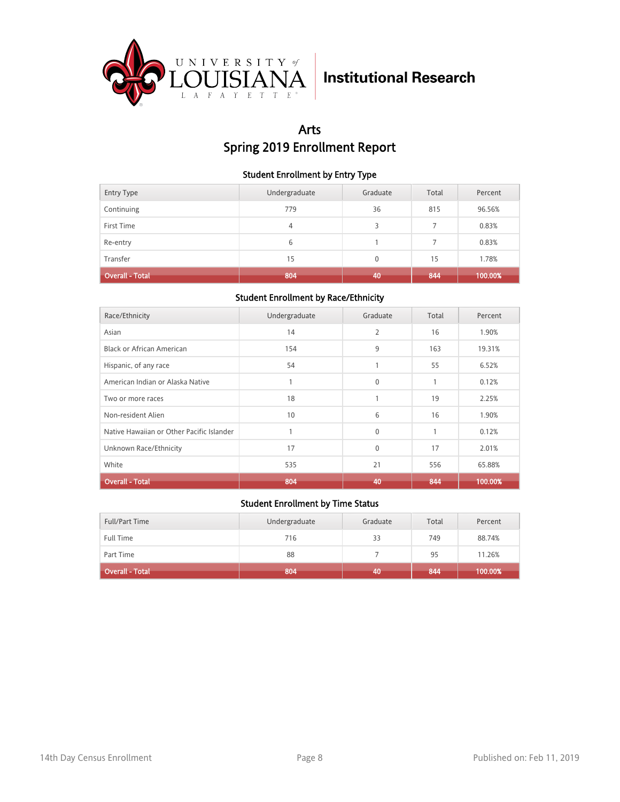

## Arts Spring 2019 Enrollment Report

#### Student Enrollment by Entry Type

| <b>Entry Type</b>      | Undergraduate | Graduate        | Total | Percent |
|------------------------|---------------|-----------------|-------|---------|
| Continuing             | 779           | 36              | 815   | 96.56%  |
| First Time             | 4             | 3               |       | 0.83%   |
| Re-entry               | 6             |                 |       | 0.83%   |
| Transfer               | 15            | $\Omega$        | 15    | 1.78%   |
| <b>Overall - Total</b> | 804           | 40 <sub>1</sub> | 844   | 100.00% |

#### Student Enrollment by Race/Ethnicity

| Race/Ethnicity                            | Undergraduate | Graduate     | Total | Percent |
|-------------------------------------------|---------------|--------------|-------|---------|
| Asian                                     | 14            | 2            | 16    | 1.90%   |
| Black or African American                 | 154           | 9            | 163   | 19.31%  |
| Hispanic, of any race                     | 54            | 1            | 55    | 6.52%   |
| American Indian or Alaska Native          |               | $\Omega$     | 1     | 0.12%   |
| Two or more races                         | 18            |              | 19    | 2.25%   |
| Non-resident Alien                        | 10            | 6            | 16    | 1.90%   |
| Native Hawaiian or Other Pacific Islander |               | $\Omega$     | 1     | 0.12%   |
| Unknown Race/Ethnicity                    | 17            | $\mathbf{0}$ | 17    | 2.01%   |
| White                                     | 535           | 21           | 556   | 65.88%  |
| <b>Overall - Total</b>                    | 804           | 40           | 844   | 100.00% |

| Full/Part Time         | Undergraduate | Graduate | Total | Percent |
|------------------------|---------------|----------|-------|---------|
| <b>Full Time</b>       | 716           | 33       | 749   | 88.74%  |
| Part Time              | 88            |          | 95    | 11.26%  |
| <b>Overall - Total</b> | 804           | 40       | 844   | 100.00% |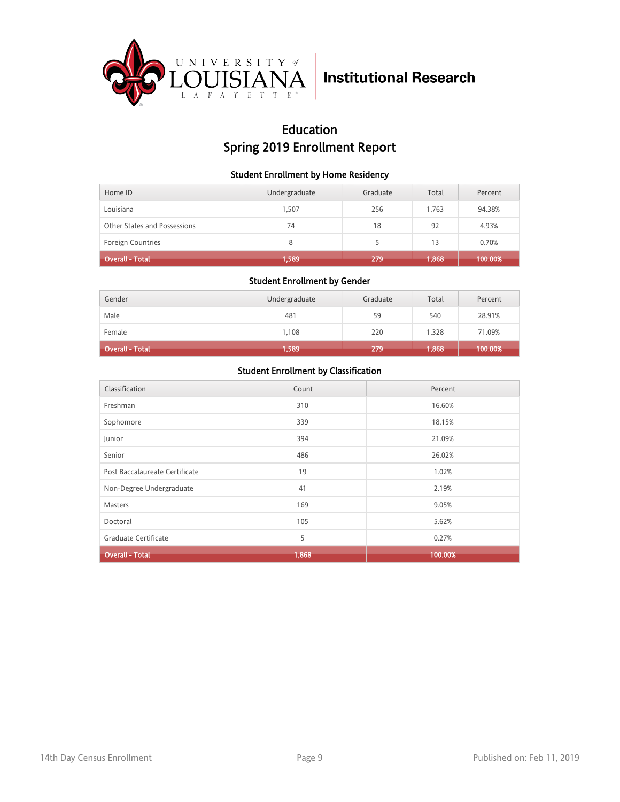

## Education Spring 2019 Enrollment Report

#### Student Enrollment by Home Residency

| Home ID                      | Undergraduate | Graduate | Total | Percent |
|------------------------------|---------------|----------|-------|---------|
| Louisiana                    | 1.507         | 256      | 1.763 | 94.38%  |
| Other States and Possessions | 74            | 18       | 92    | 4.93%   |
| <b>Foreign Countries</b>     | 8             |          | 13    | 0.70%   |
| <b>Overall - Total</b>       | 1,589         | 279      | 1,868 | 100.00% |

#### Student Enrollment by Gender

| Gender                 | Undergraduate | Graduate | Total | Percent |
|------------------------|---------------|----------|-------|---------|
| Male                   | 481           | 59       | 540   | 28.91%  |
| Female                 | 1,108         | 220      | 1,328 | 71.09%  |
| <b>Overall - Total</b> | 1,589         | 279      | 1,868 | 100.00% |

| Classification                 | Count | Percent |
|--------------------------------|-------|---------|
| Freshman                       | 310   | 16.60%  |
| Sophomore                      | 339   | 18.15%  |
| Junior                         | 394   | 21.09%  |
| Senior                         | 486   | 26.02%  |
| Post Baccalaureate Certificate | 19    | 1.02%   |
| Non-Degree Undergraduate       | 41    | 2.19%   |
| <b>Masters</b>                 | 169   | 9.05%   |
| Doctoral                       | 105   | 5.62%   |
| Graduate Certificate           | 5     | 0.27%   |
| <b>Overall - Total</b>         | 1,868 | 100.00% |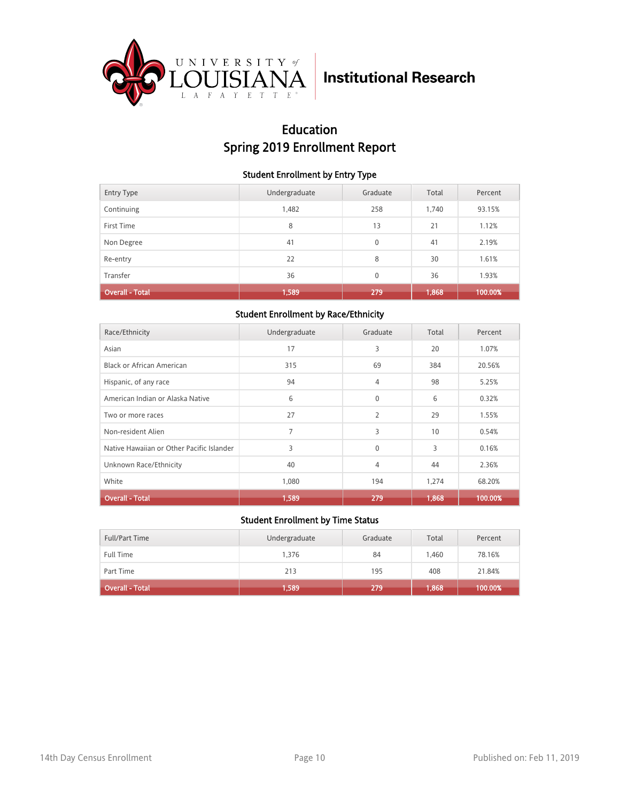

## Education Spring 2019 Enrollment Report

#### Student Enrollment by Entry Type

| <b>Entry Type</b>      | Undergraduate | Graduate     | Total | Percent |
|------------------------|---------------|--------------|-------|---------|
| Continuing             | 1,482         | 258          | 1,740 | 93.15%  |
| First Time             | 8             | 13           | 21    | 1.12%   |
| Non Degree             | 41            | $\mathbf{0}$ | 41    | 2.19%   |
| Re-entry               | 22            | 8            | 30    | 1.61%   |
| Transfer               | 36            | $\mathbf{0}$ | 36    | 1.93%   |
| <b>Overall - Total</b> | 1,589         | 279          | 1,868 | 100.00% |

#### Student Enrollment by Race/Ethnicity

| Race/Ethnicity                            | Undergraduate | Graduate     | Total | Percent |
|-------------------------------------------|---------------|--------------|-------|---------|
| Asian                                     | 17            | 3            | 20    | 1.07%   |
| Black or African American                 | 315           | 69           | 384   | 20.56%  |
| Hispanic, of any race                     | 94            | 4            | 98    | 5.25%   |
| American Indian or Alaska Native          | 6             | $\mathbf{0}$ | 6     | 0.32%   |
| Two or more races                         | 27            | 2            | 29    | 1.55%   |
| Non-resident Alien                        | 7             | 3            | 10    | 0.54%   |
| Native Hawaiian or Other Pacific Islander | 3             | $\mathbf{0}$ | 3     | 0.16%   |
| Unknown Race/Ethnicity                    | 40            | 4            | 44    | 2.36%   |
| White                                     | 1,080         | 194          | 1,274 | 68.20%  |
| <b>Overall - Total</b>                    | 1,589         | 279          | 1,868 | 100.00% |

| <b>Full/Part Time</b>  | Undergraduate | Graduate | Total | Percent |
|------------------------|---------------|----------|-------|---------|
| <b>Full Time</b>       | 1.376         | 84       | 1.460 | 78.16%  |
| Part Time              | 213           | 195      | 408   | 21.84%  |
| <b>Overall - Total</b> | 1,589         | 279      | 1,868 | 100.00% |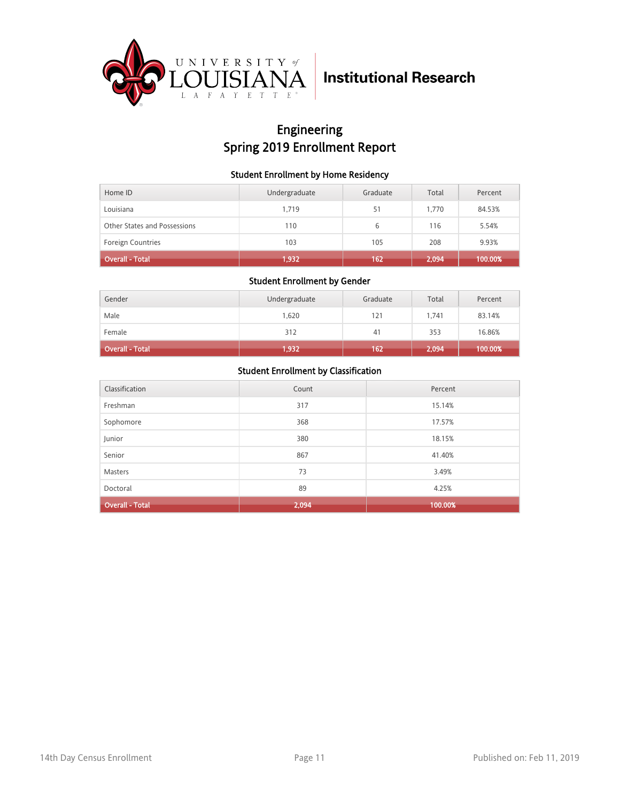

## Engineering Spring 2019 Enrollment Report

#### Student Enrollment by Home Residency

| Home ID                      | Undergraduate | Graduate | Total | Percent |
|------------------------------|---------------|----------|-------|---------|
| Louisiana                    | 1.719         | 51       | 1.770 | 84.53%  |
| Other States and Possessions | 110           | 6        | 116   | 5.54%   |
| <b>Foreign Countries</b>     | 103           | 105      | 208   | 9.93%   |
| <b>Overall - Total</b>       | 1,932         | 162      | 2,094 | 100.00% |

#### Student Enrollment by Gender

| Gender          | Undergraduate | Graduate | Total | Percent |
|-----------------|---------------|----------|-------|---------|
| Male            | 1,620         | 121      | 1.741 | 83.14%  |
| Female          | 312           | 41       | 353   | 16.86%  |
| Overall - Total | 1,932         | 162      | 2,094 | 100.00% |

| Classification         | Count | Percent |
|------------------------|-------|---------|
| Freshman               | 317   | 15.14%  |
| Sophomore              | 368   | 17.57%  |
| Junior                 | 380   | 18.15%  |
| Senior                 | 867   | 41.40%  |
| <b>Masters</b>         | 73    | 3.49%   |
| Doctoral               | 89    | 4.25%   |
| <b>Overall - Total</b> | 2,094 | 100.00% |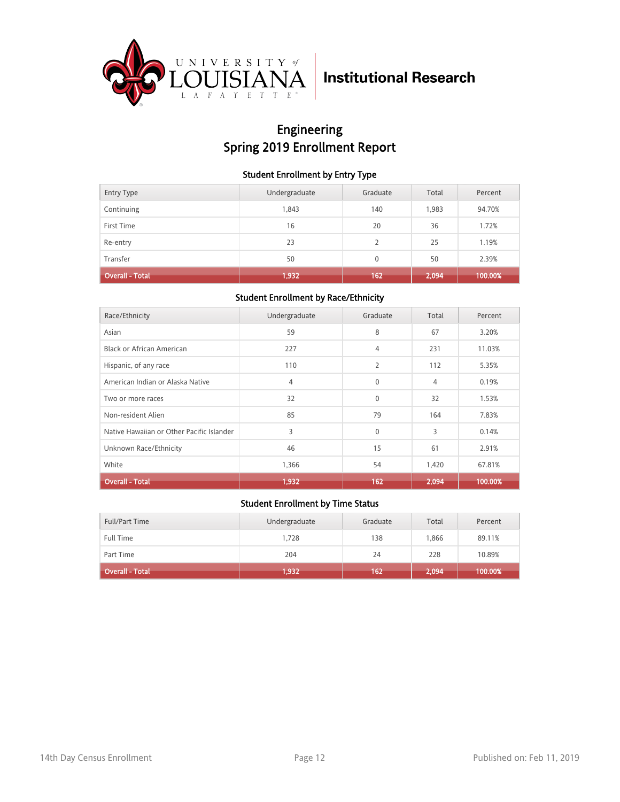

## Engineering Spring 2019 Enrollment Report

#### Student Enrollment by Entry Type

| <b>Entry Type</b>      | Undergraduate | Graduate | Total | Percent |
|------------------------|---------------|----------|-------|---------|
| Continuing             | 1,843         | 140      | 1,983 | 94.70%  |
| First Time             | 16            | 20       | 36    | 1.72%   |
| Re-entry               | 23            | 2        | 25    | 1.19%   |
| Transfer               | 50            | $\Omega$ | 50    | 2.39%   |
| <b>Overall - Total</b> | 1,932         | 162      | 2,094 | 100.00% |

#### Student Enrollment by Race/Ethnicity

| Race/Ethnicity                            | Undergraduate  | Graduate       | Total | Percent |
|-------------------------------------------|----------------|----------------|-------|---------|
| Asian                                     | 59             | 8              | 67    | 3.20%   |
| Black or African American                 | 227            | 4              | 231   | 11.03%  |
| Hispanic, of any race                     | 110            | $\overline{2}$ | 112   | 5.35%   |
| American Indian or Alaska Native          | $\overline{4}$ | $\Omega$       | 4     | 0.19%   |
| Two or more races                         | 32             | $\mathbf{0}$   | 32    | 1.53%   |
| Non-resident Alien                        | 85             | 79             | 164   | 7.83%   |
| Native Hawaiian or Other Pacific Islander | 3              | $\Omega$       | 3     | 0.14%   |
| Unknown Race/Ethnicity                    | 46             | 15             | 61    | 2.91%   |
| White                                     | 1,366          | 54             | 1,420 | 67.81%  |
| <b>Overall - Total</b>                    | 1,932          | 162            | 2,094 | 100.00% |

| Full/Part Time               | Undergraduate | Graduate | Total | Percent |
|------------------------------|---------------|----------|-------|---------|
| <b>Full Time</b>             | 1.728         | 138      | 1.866 | 89.11%  |
| Part Time                    | 204           | 24       | 228   | 10.89%  |
| Overall - Total <sup>1</sup> | 1,932         | 162      | 2,094 | 100.00% |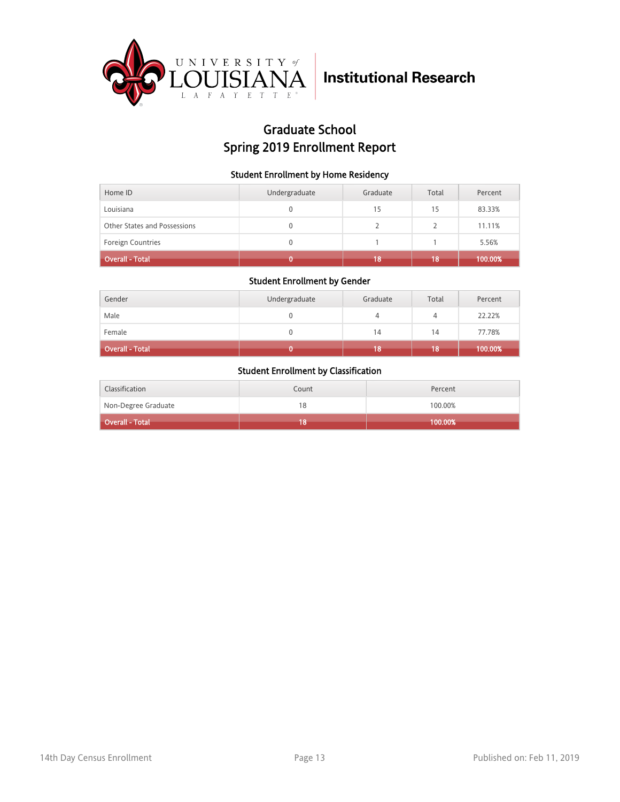

## Graduate School Spring 2019 Enrollment Report

#### Student Enrollment by Home Residency

| Home ID                      | Undergraduate | Graduate | Total | Percent |
|------------------------------|---------------|----------|-------|---------|
| Louisiana                    |               | 15       | 15    | 83.33%  |
| Other States and Possessions | 0             |          |       | 11.11%  |
| Foreign Countries            |               |          |       | 5.56%   |
| <b>Overall - Total</b>       |               | 18       | 18    | 100.00% |

#### Student Enrollment by Gender

| Gender                 | Undergraduate | Graduate | Total | Percent |
|------------------------|---------------|----------|-------|---------|
| Male                   |               |          | 4     | 22.22%  |
| Female                 |               | 14       | 14    | 77.78%  |
| <b>Overall - Total</b> |               | 18       | 18    | 100.00% |

| Classification      | Count | Percent |
|---------------------|-------|---------|
| Non-Degree Graduate | 18    | 100.00% |
| Overall - Total     | 8     | 100.00% |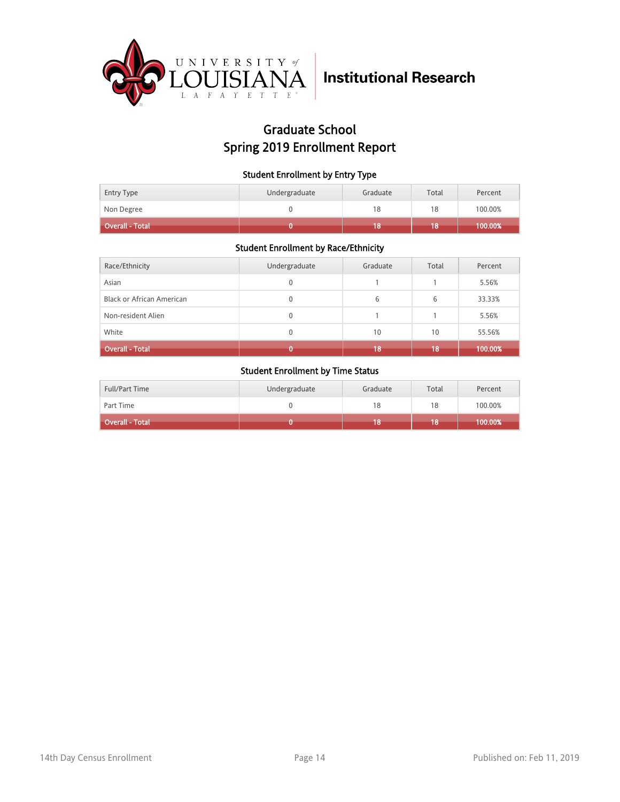

## Graduate School Spring 2019 Enrollment Report

#### Student Enrollment by Entry Type

| Entry Type      | Undergraduate | Graduate | Total | Percent |
|-----------------|---------------|----------|-------|---------|
| Non Degree      |               | 18       | 18    | 100.00% |
| Overall - Total |               |          |       | 100.00% |

#### Student Enrollment by Race/Ethnicity

| Race/Ethnicity                   | Undergraduate | Graduate | Total | Percent |
|----------------------------------|---------------|----------|-------|---------|
| Asian                            | 0             |          |       | 5.56%   |
| <b>Black or African American</b> | 0             | 6        | 6     | 33.33%  |
| Non-resident Alien               | 0             |          |       | 5.56%   |
| White                            | 0             | 10       | 10    | 55.56%  |
| <b>Overall - Total</b>           |               | 18       | 18    | 100.00% |

| <b>Full/Part Time</b>  | Undergraduate | Graduate | Total | Percent |
|------------------------|---------------|----------|-------|---------|
| Part Time              |               | 18       | 18    | 100.00% |
| <b>Overall - Total</b> |               | 18       | 18    | 100.00% |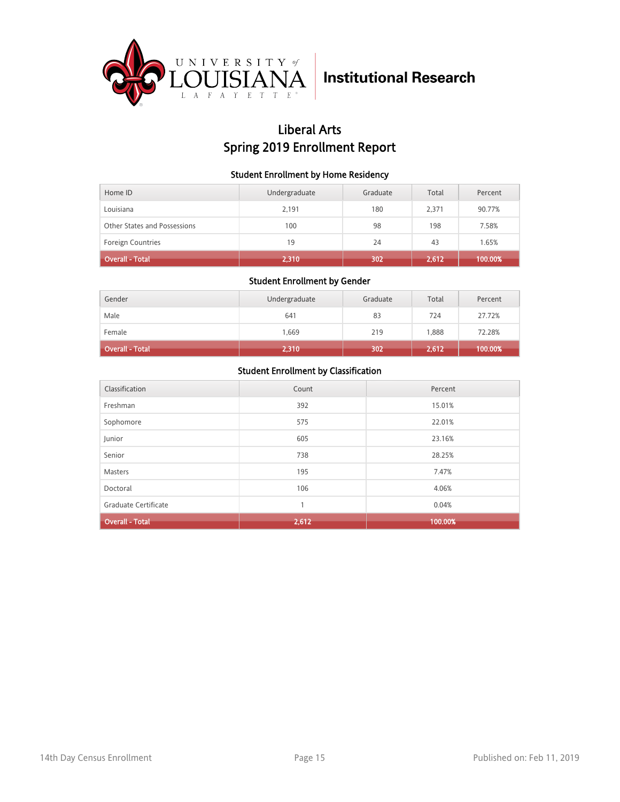

## Liberal Arts Spring 2019 Enrollment Report

#### Student Enrollment by Home Residency

| Home ID                      | Undergraduate | Graduate | Total | Percent |
|------------------------------|---------------|----------|-------|---------|
| Louisiana                    | 2.191         | 180      | 2.371 | 90.77%  |
| Other States and Possessions | 100           | 98       | 198   | 7.58%   |
| <b>Foreign Countries</b>     | 19            | 24       | 43    | 1.65%   |
| <b>Overall - Total</b>       | 2,310         | 302      | 2,612 | 100.00% |

#### Student Enrollment by Gender

| Gender                 | Undergraduate | Graduate | Total | Percent |
|------------------------|---------------|----------|-------|---------|
| Male                   | 641           | 83       | 724   | 27.72%  |
| Female                 | 1,669         | 219      | 1,888 | 72.28%  |
| <b>Overall - Total</b> | 2,310         | 302      | 2,612 | 100.00% |

| Classification         | Count | Percent |
|------------------------|-------|---------|
| Freshman               | 392   | 15.01%  |
| Sophomore              | 575   | 22.01%  |
| Junior                 | 605   | 23.16%  |
| Senior                 | 738   | 28.25%  |
| <b>Masters</b>         | 195   | 7.47%   |
| Doctoral               | 106   | 4.06%   |
| Graduate Certificate   | 1     | 0.04%   |
| <b>Overall - Total</b> | 2,612 | 100.00% |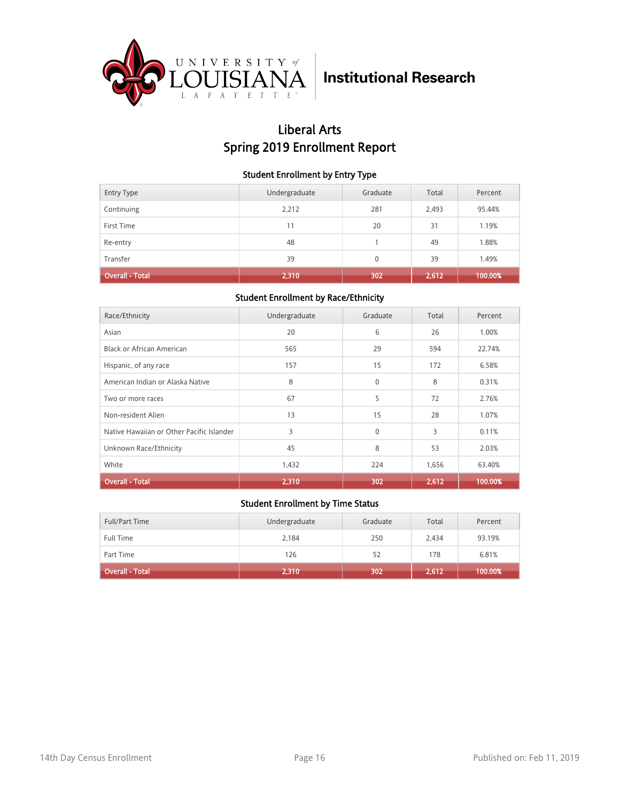

## Liberal Arts Spring 2019 Enrollment Report

#### Student Enrollment by Entry Type

| <b>Entry Type</b>      | Undergraduate | Graduate | Total | Percent |
|------------------------|---------------|----------|-------|---------|
| Continuing             | 2,212         | 281      | 2,493 | 95.44%  |
| First Time             | 11            | 20       | 31    | 1.19%   |
| Re-entry               | 48            |          | 49    | 1.88%   |
| Transfer               | 39            | $\Omega$ | 39    | 1.49%   |
| <b>Overall - Total</b> | 2,310         | 302      | 2,612 | 100.00% |

#### Student Enrollment by Race/Ethnicity

| Race/Ethnicity                            | Undergraduate | Graduate     | Total | Percent |
|-------------------------------------------|---------------|--------------|-------|---------|
| Asian                                     | 20            | 6            | 26    | 1.00%   |
| Black or African American                 | 565           | 29           | 594   | 22.74%  |
| Hispanic, of any race                     | 157           | 15           | 172   | 6.58%   |
| American Indian or Alaska Native          | 8             | $\Omega$     | 8     | 0.31%   |
| Two or more races                         | 67            | 5            | 72    | 2.76%   |
| Non-resident Alien                        | 13            | 15           | 28    | 1.07%   |
| Native Hawaiian or Other Pacific Islander | 3             | $\mathbf{0}$ | 3     | 0.11%   |
| Unknown Race/Ethnicity                    | 45            | 8            | 53    | 2.03%   |
| White                                     | 1,432         | 224          | 1,656 | 63.40%  |
| <b>Overall - Total</b>                    | 2,310         | 302          | 2,612 | 100.00% |

| <b>Full/Part Time</b>  | Undergraduate | Graduate | Total | Percent |
|------------------------|---------------|----------|-------|---------|
| <b>Full Time</b>       | 2,184         | 250      | 2.434 | 93.19%  |
| Part Time              | 126           | 52       | 178   | 6.81%   |
| <b>Overall - Total</b> | 2,310         | 302      | 2,612 | 100.00% |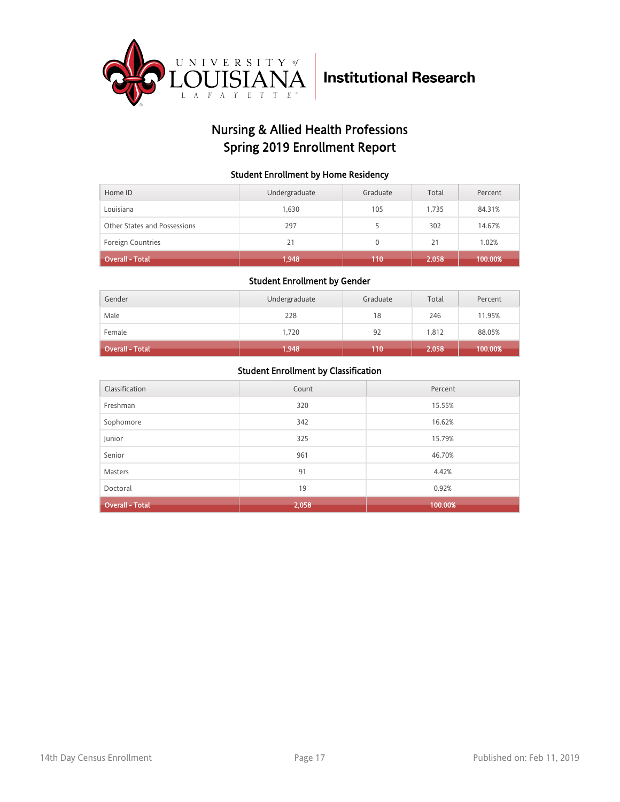

## Nursing & Allied Health Professions Spring 2019 Enrollment Report

#### Student Enrollment by Home Residency

| Home ID                      | Undergraduate | Graduate     | Total | Percent |
|------------------------------|---------------|--------------|-------|---------|
| Louisiana                    | 1.630         | 105          | 1.735 | 84.31%  |
| Other States and Possessions | 297           |              | 302   | 14.67%  |
| <b>Foreign Countries</b>     | 21            | $\mathbf{0}$ | 21    | 1.02%   |
| <b>Overall - Total</b>       | 1,948         | 110          | 2,058 | 100.00% |

#### Student Enrollment by Gender

| Gender                 | Undergraduate | Graduate | Total | Percent |
|------------------------|---------------|----------|-------|---------|
| Male                   | 228           | 18       | 246   | 11.95%  |
| Female                 | 1,720         | 92       | 1,812 | 88.05%  |
| <b>Overall - Total</b> | 1,948         | 110      | 2,058 | 100.00% |

| Classification         | Count | Percent |
|------------------------|-------|---------|
| Freshman               | 320   | 15.55%  |
| Sophomore              | 342   | 16.62%  |
| Junior                 | 325   | 15.79%  |
| Senior                 | 961   | 46.70%  |
| <b>Masters</b>         | 91    | 4.42%   |
| Doctoral               | 19    | 0.92%   |
| <b>Overall - Total</b> | 2,058 | 100.00% |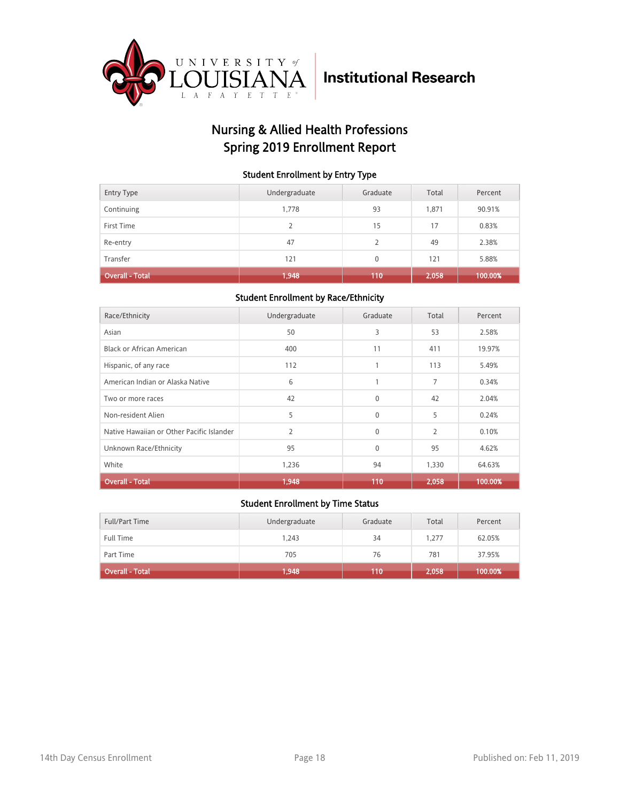

## Nursing & Allied Health Professions Spring 2019 Enrollment Report

#### Student Enrollment by Entry Type

| <b>Entry Type</b>      | Undergraduate | Graduate | Total | Percent |
|------------------------|---------------|----------|-------|---------|
| Continuing             | 1,778         | 93       | 1,871 | 90.91%  |
| First Time             | 2             | 15       | 17    | 0.83%   |
| Re-entry               | 47            | 2        | 49    | 2.38%   |
| Transfer               | 121           | 0        | 121   | 5.88%   |
| <b>Overall - Total</b> | 1,948         | 110      | 2,058 | 100.00% |

#### Student Enrollment by Race/Ethnicity

| Race/Ethnicity                            | Undergraduate  | Graduate     | Total          | Percent |
|-------------------------------------------|----------------|--------------|----------------|---------|
| Asian                                     | 50             | 3            | 53             | 2.58%   |
| Black or African American                 | 400            | 11           | 411            | 19.97%  |
| Hispanic, of any race                     | 112            | 1            | 113            | 5.49%   |
| American Indian or Alaska Native          | 6              | $\mathbf{1}$ | 7              | 0.34%   |
| Two or more races                         | 42             | $\Omega$     | 42             | 2.04%   |
| Non-resident Alien                        | 5              | $\mathbf{0}$ | 5              | 0.24%   |
| Native Hawaiian or Other Pacific Islander | $\overline{2}$ | $\mathbf{0}$ | $\overline{2}$ | 0.10%   |
| Unknown Race/Ethnicity                    | 95             | $\mathbf{0}$ | 95             | 4.62%   |
| White                                     | 1,236          | 94           | 1,330          | 64.63%  |
| <b>Overall - Total</b>                    | 1,948          | 110          | 2,058          | 100.00% |

| Full/Part Time         | Undergraduate | Graduate | Total | Percent |
|------------------------|---------------|----------|-------|---------|
| <b>Full Time</b>       | 1.243         | 34       | 1.277 | 62.05%  |
| Part Time              | 705           | 76       | 781   | 37.95%  |
| <b>Overall - Total</b> | 1,948         | 110      | 2,058 | 100.00% |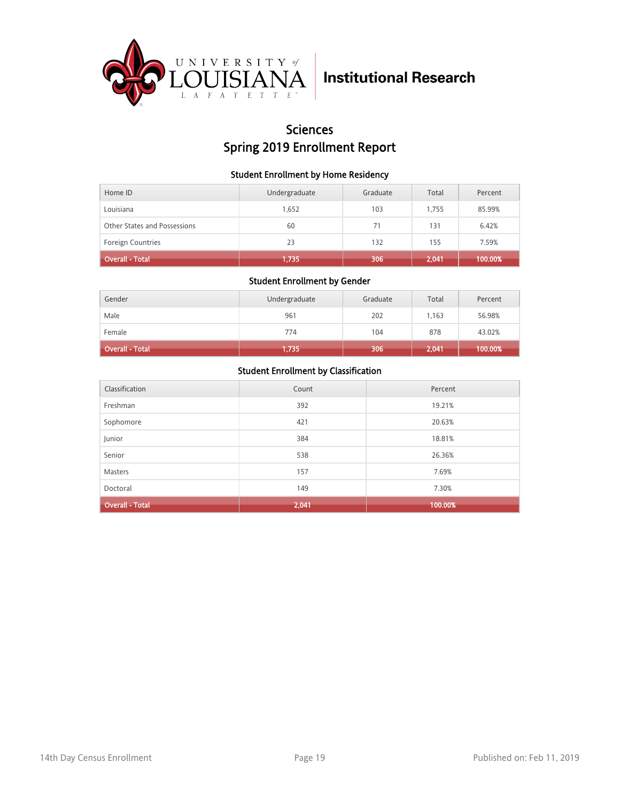

## Sciences Spring 2019 Enrollment Report

#### Student Enrollment by Home Residency

| Home ID                      | Undergraduate | Graduate | Total | Percent |
|------------------------------|---------------|----------|-------|---------|
| Louisiana                    | 1,652         | 103      | 1.755 | 85.99%  |
| Other States and Possessions | 60            | 71       | 131   | 6.42%   |
| <b>Foreign Countries</b>     | 23            | 132      | 155   | 7.59%   |
| <b>Overall - Total</b>       | 1,735         | 306      | 2,041 | 100.00% |

#### Student Enrollment by Gender

| Gender          | Undergraduate | Graduate | Total | Percent |
|-----------------|---------------|----------|-------|---------|
| Male            | 961           | 202      | 1,163 | 56.98%  |
| Female          | 774           | 104      | 878   | 43.02%  |
| Overall - Total | 1,735         | 306      | 2,041 | 100.00% |

| Classification         | Count | Percent |
|------------------------|-------|---------|
| Freshman               | 392   | 19.21%  |
| Sophomore              | 421   | 20.63%  |
| Junior                 | 384   | 18.81%  |
| Senior                 | 538   | 26.36%  |
| <b>Masters</b>         | 157   | 7.69%   |
| Doctoral               | 149   | 7.30%   |
| <b>Overall - Total</b> | 2,041 | 100.00% |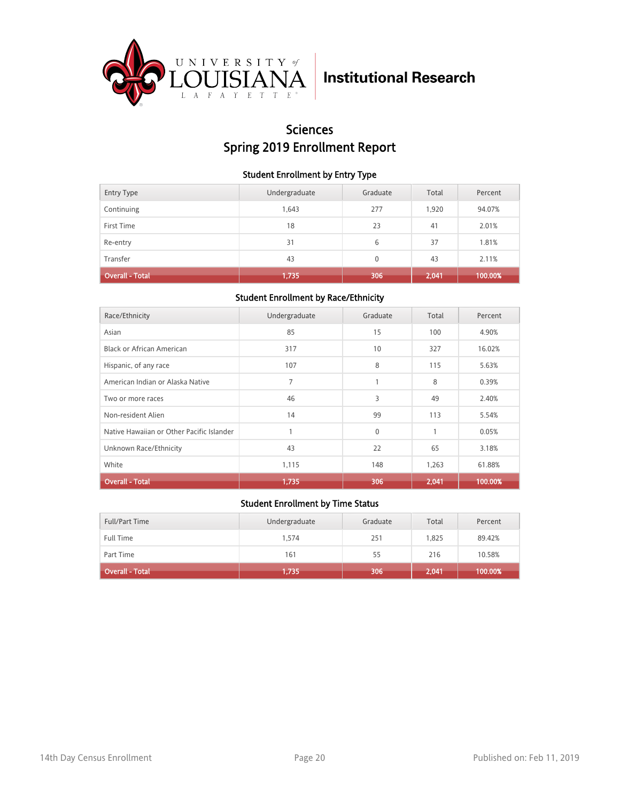

## Sciences Spring 2019 Enrollment Report

#### Student Enrollment by Entry Type

| <b>Entry Type</b>      | Undergraduate | Graduate | Total | Percent |
|------------------------|---------------|----------|-------|---------|
| Continuing             | 1,643         | 277      | 1,920 | 94.07%  |
| First Time             | 18            | 23       | 41    | 2.01%   |
| Re-entry               | 31            | 6        | 37    | 1.81%   |
| Transfer               | 43            | $\Omega$ | 43    | 2.11%   |
| <b>Overall - Total</b> | 1,735         | 306      | 2,041 | 100.00% |

#### Student Enrollment by Race/Ethnicity

| Race/Ethnicity                            | Undergraduate  | Graduate     | Total | Percent |
|-------------------------------------------|----------------|--------------|-------|---------|
| Asian                                     | 85             | 15           | 100   | 4.90%   |
| Black or African American                 | 317            | 10           | 327   | 16.02%  |
| Hispanic, of any race                     | 107            | 8            | 115   | 5.63%   |
| American Indian or Alaska Native          | $\overline{7}$ | 1            | 8     | 0.39%   |
| Two or more races                         | 46             | 3            | 49    | 2.40%   |
| Non-resident Alien                        | 14             | 99           | 113   | 5.54%   |
| Native Hawaiian or Other Pacific Islander |                | $\mathbf{0}$ | 1     | 0.05%   |
| Unknown Race/Ethnicity                    | 43             | 22           | 65    | 3.18%   |
| White                                     | 1,115          | 148          | 1,263 | 61.88%  |
| <b>Overall - Total</b>                    | 1,735          | 306          | 2,041 | 100.00% |

| Full/Part Time         | Undergraduate | Graduate | Total | Percent |
|------------------------|---------------|----------|-------|---------|
| <b>Full Time</b>       | 1.574         | 251      | 1,825 | 89.42%  |
| Part Time              | 161           | 55       | 216   | 10.58%  |
| <b>Overall - Total</b> | 1,735         | 306      | 2,041 | 100.00% |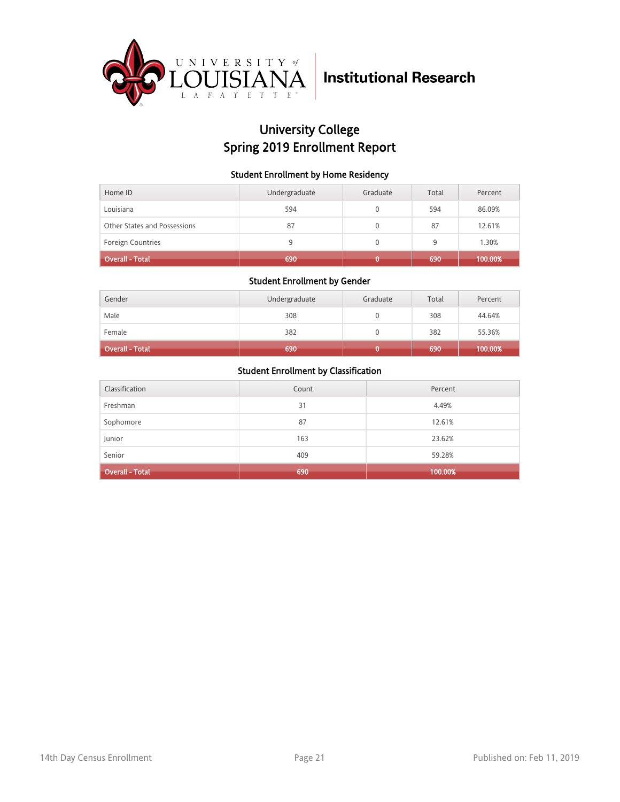

## University College Spring 2019 Enrollment Report

#### Student Enrollment by Home Residency

| Home ID                      | Undergraduate | Graduate | Total | Percent |
|------------------------------|---------------|----------|-------|---------|
| Louisiana                    | 594           |          | 594   | 86.09%  |
| Other States and Possessions | 87            |          | 87    | 12.61%  |
| Foreign Countries            | 9             |          | 9     | 1.30%   |
| <b>Overall - Total</b>       | 690           |          | 690   | 100.00% |

#### Student Enrollment by Gender

| Gender                 | Undergraduate | Graduate | Total | Percent |
|------------------------|---------------|----------|-------|---------|
| Male                   | 308           |          | 308   | 44.64%  |
| Female                 | 382           | 0        | 382   | 55.36%  |
| <b>Overall - Total</b> | 690           |          | 690   | 100.00% |

| Classification         | Count | Percent |
|------------------------|-------|---------|
| Freshman               | 31    | 4.49%   |
| Sophomore              | 87    | 12.61%  |
| Junior                 | 163   | 23.62%  |
| Senior                 | 409   | 59.28%  |
| <b>Overall - Total</b> | 690   | 100.00% |